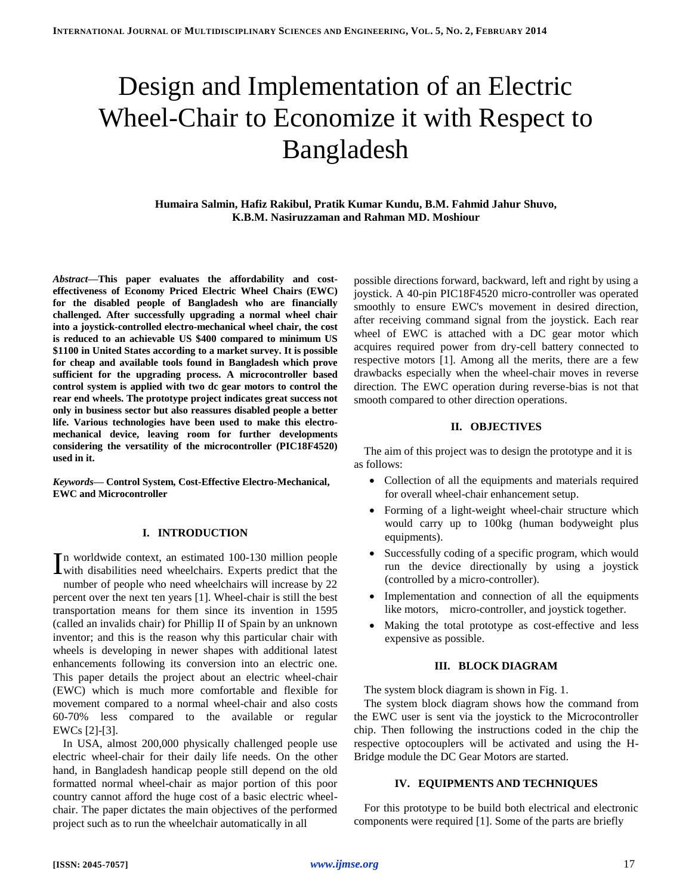# Design and Implementation of an Electric Wheel-Chair to Economize it with Respect to Bangladesh

**Humaira Salmin, Hafiz Rakibul, Pratik Kumar Kundu, B.M. Fahmid Jahur Shuvo, K.B.M. Nasiruzzaman and Rahman MD. Moshiour**

*Abstract***—This paper evaluates the affordability and costeffectiveness of Economy Priced Electric Wheel Chairs (EWC) for the disabled people of Bangladesh who are financially challenged. After successfully upgrading a normal wheel chair into a joystick-controlled electro-mechanical wheel chair, the cost is reduced to an achievable US \$400 compared to minimum US \$1100 in United States according to a market survey. It is possible for cheap and available tools found in Bangladesh which prove sufficient for the upgrading process. A microcontroller based control system is applied with two dc gear motors to control the rear end wheels. The prototype project indicates great success not only in business sector but also reassures disabled people a better life. Various technologies have been used to make this electromechanical device, leaving room for further developments considering the versatility of the microcontroller (PIC18F4520) used in it.**

*Keywords***— Control System, Cost-Effective Electro-Mechanical, EWC and Microcontroller**

## **I. INTRODUCTION**

n worldwide context, an estimated 100-130 million people In worldwide context, an estimated 100-130 million people<br>with disabilities need wheelchairs. Experts predict that the number of people who need wheelchairs will increase by 22 percent over the next ten years [1]. Wheel-chair is still the best transportation means for them since its invention in 1595 (called an invalids chair) for Phillip II of Spain by an unknown inventor; and this is the reason why this particular chair with wheels is developing in newer shapes with additional latest enhancements following its conversion into an electric one. This paper details the project about an electric wheel-chair (EWC) which is much more comfortable and flexible for movement compared to a normal wheel-chair and also costs 60-70% less compared to the available or regular EWCs [2]-[3].

In USA, almost 200,000 physically challenged people use electric wheel-chair for their daily life needs. On the other hand, in Bangladesh handicap people still depend on the old formatted normal wheel-chair as major portion of this poor country cannot afford the huge cost of a basic electric wheelchair. The paper dictates the main objectives of the performed project such as to run the wheelchair automatically in all

possible directions forward, backward, left and right by using a joystick. A 40-pin PIC18F4520 micro-controller was operated smoothly to ensure EWC's movement in desired direction, after receiving command signal from the joystick. Each rear wheel of EWC is attached with a DC gear motor which acquires required power from dry-cell battery connected to respective motors [1]. Among all the merits, there are a few drawbacks especially when the wheel-chair moves in reverse direction. The EWC operation during reverse-bias is not that smooth compared to other direction operations.

#### **II. OBJECTIVES**

The aim of this project was to design the prototype and it is as follows:

- Collection of all the equipments and materials required for overall wheel-chair enhancement setup.
- Forming of a light-weight wheel-chair structure which would carry up to 100kg (human bodyweight plus equipments).
- Successfully coding of a specific program, which would run the device directionally by using a joystick (controlled by a micro-controller).
- Implementation and connection of all the equipments like motors, micro-controller, and joystick together.
- Making the total prototype as cost-effective and less expensive as possible.

## **III. BLOCK DIAGRAM**

The system block diagram is shown in Fig. 1.

The system block diagram shows how the command from the EWC user is sent via the joystick to the Microcontroller chip. Then following the instructions coded in the chip the respective optocouplers will be activated and using the H-Bridge module the DC Gear Motors are started.

#### **IV. EQUIPMENTS AND TECHNIQUES**

For this prototype to be build both electrical and electronic components were required [1]. Some of the parts are briefly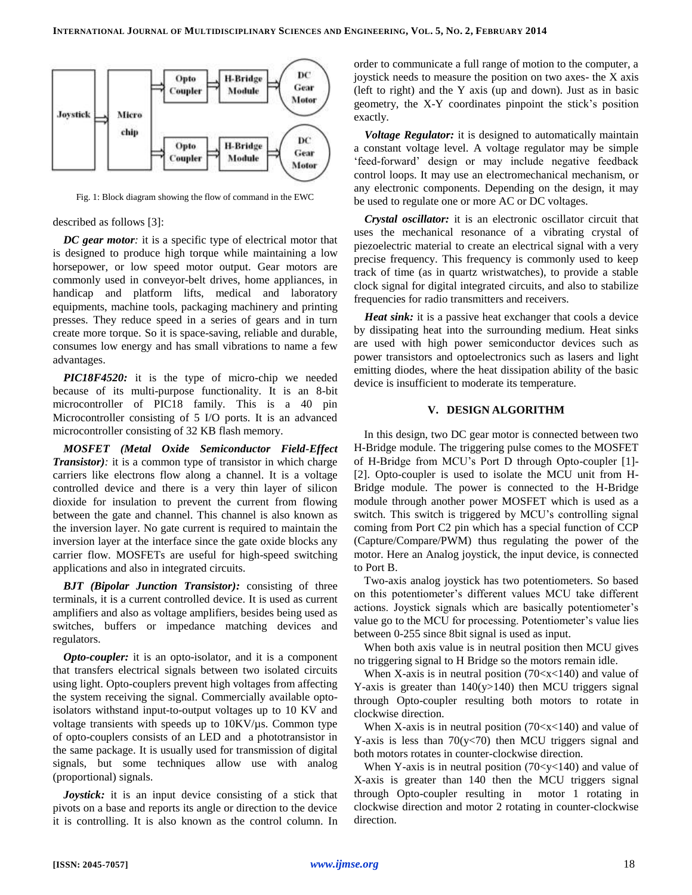

Fig. 1: Block diagram showing the flow of command in the EWC

#### described as follows [3]:

*DC gear motor:* it is a specific type of electrical motor that is designed to produce high torque while maintaining a low horsepower, or low speed motor output. Gear motors are commonly used in conveyor-belt drives, home appliances, in handicap and platform lifts, medical and laboratory equipments, machine tools, packaging machinery and printing presses. They reduce speed in a series of gears and in turn create more torque. So it is space-saving, reliable and durable, consumes low energy and has small vibrations to name a few advantages.

*PIC18F4520:* it is the type of micro-chip we needed because of its multi-purpose functionality. It is an 8-bit microcontroller of PIC18 family. This is a 40 pin Microcontroller consisting of 5 I/O ports. It is an advanced microcontroller consisting of 32 KB flash memory.

*MOSFET (Metal Oxide Semiconductor Field-Effect Transistor*): it is a common type of transistor in which charge carriers like electrons flow along a channel. It is a voltage controlled device and there is a very thin layer of silicon dioxide for insulation to prevent the current from flowing between the gate and channel. This channel is also known as the inversion layer. No gate current is required to maintain the inversion layer at the interface since the gate oxide blocks any carrier flow. MOSFETs are useful for high-speed switching applications and also in integrated circuits.

*BJT (Bipolar Junction Transistor):* consisting of three terminals, it is a current controlled device. It is used as current amplifiers and also as voltage amplifiers, besides being used as switches, buffers or impedance matching devices and regulators.

*Opto-coupler:* it is an opto-isolator, and it is a component that transfers electrical signals between two isolated circuits using light. Opto-couplers prevent high voltages from affecting the system receiving the signal. Commercially available optoisolators withstand input-to-output voltages up to 10 KV and voltage transients with speeds up to 10KV/µs. Common type of opto-couplers consists of an LED and a phototransistor in the same package. It is usually used for transmission of digital signals, but some techniques allow use with analog (proportional) signals.

*Joystick:* it is an input device consisting of a stick that pivots on a base and reports its angle or direction to the device it is controlling. It is also known as the control column. In order to communicate a full range of motion to the computer, a joystick needs to measure the position on two axes- the X axis (left to right) and the Y axis (up and down). Just as in basic geometry, the X-Y coordinates pinpoint the stick's position exactly.

*Voltage Regulator:* it is designed to automatically maintain a constant voltage level. A voltage regulator may be simple 'feed-forward' design or may include negative feedback control loops. It may use an electromechanical mechanism, or any electronic components. Depending on the design, it may be used to regulate one or more AC or DC voltages.

*Crystal oscillator:* it is an electronic oscillator circuit that uses the mechanical resonance of a vibrating crystal of piezoelectric material to create an electrical signal with a very precise frequency. This frequency is commonly used to keep track of time (as in quartz wristwatches), to provide a stable clock signal for digital integrated circuits, and also to stabilize frequencies for radio transmitters and receivers.

*Heat sink:* it is a passive heat exchanger that cools a device by dissipating heat into the surrounding medium. Heat sinks are used with high power semiconductor devices such as power transistors and optoelectronics such as lasers and light emitting diodes, where the heat dissipation ability of the basic device is insufficient to moderate its temperature.

## **V. DESIGN ALGORITHM**

In this design, two DC gear motor is connected between two H-Bridge module. The triggering pulse comes to the MOSFET of H-Bridge from MCU's Port D through Opto-coupler [1]- [2]. Opto-coupler is used to isolate the MCU unit from H-Bridge module. The power is connected to the H-Bridge module through another power MOSFET which is used as a switch. This switch is triggered by MCU's controlling signal coming from Port C2 pin which has a special function of CCP (Capture/Compare/PWM) thus regulating the power of the motor. Here an Analog joystick, the input device, is connected to Port B.

Two-axis analog joystick has two potentiometers. So based on this potentiometer's different values MCU take different actions. Joystick signals which are basically potentiometer's value go to the MCU for processing. Potentiometer's value lies between 0-255 since 8bit signal is used as input.

When both axis value is in neutral position then MCU gives no triggering signal to H Bridge so the motors remain idle.

When X-axis is in neutral position  $(70 < x < 140)$  and value of Y-axis is greater than  $140(y>140)$  then MCU triggers signal through Opto-coupler resulting both motors to rotate in clockwise direction.

When X-axis is in neutral position  $(70 < x < 140)$  and value of Y-axis is less than  $70(y<70)$  then MCU triggers signal and both motors rotates in counter-clockwise direction.

When Y-axis is in neutral position  $(70 < y < 140)$  and value of X-axis is greater than 140 then the MCU triggers signal through Opto-coupler resulting in motor 1 rotating in clockwise direction and motor 2 rotating in counter-clockwise direction.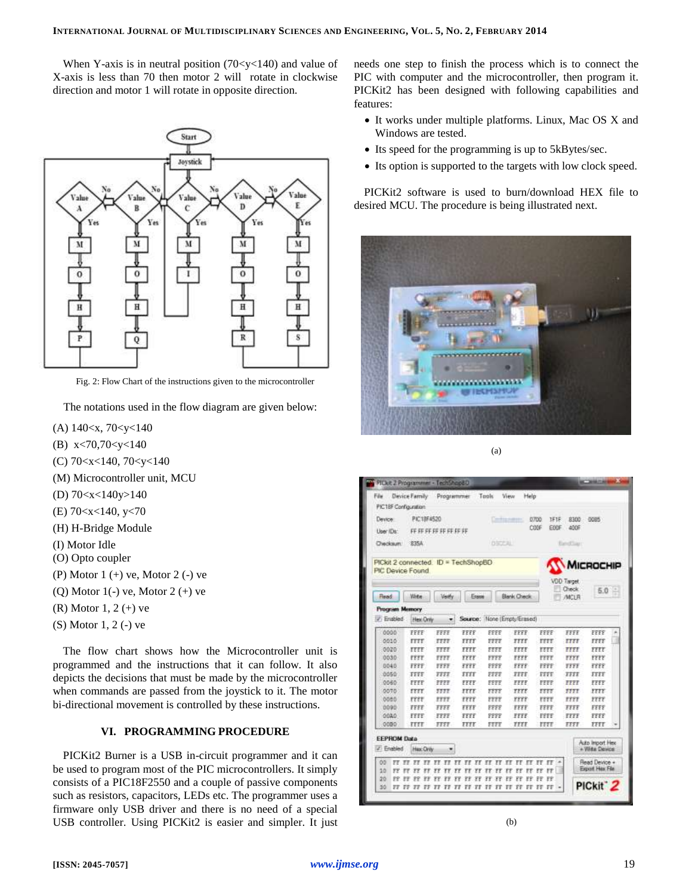When Y-axis is in neutral position  $(70 < y < 140)$  and value of X-axis is less than 70 then motor 2 will rotate in clockwise direction and motor 1 will rotate in opposite direction.



Fig. 2: Flow Chart of the instructions given to the microcontroller

The notations used in the flow diagram are given below:

- (A) 140<x, 70<y<140
- (B) x<70,70<y<140
- (C) 70<x<140, 70<y<140
- (M) Microcontroller unit, MCU
- (D) 70<x<140y>140
- (E) 70<x<140, y<70
- (H) H-Bridge Module
- (I) Motor Idle
- (O) Opto coupler
- (P) Motor 1 (+) ve, Motor 2 (-) ve
- (Q) Motor  $1(-)$  ve, Motor  $2 (+)$  ve
- (R) Motor 1, 2 (+) ve
- (S) Motor 1, 2 (-) ve

The flow chart shows how the Microcontroller unit is programmed and the instructions that it can follow. It also depicts the decisions that must be made by the microcontroller when commands are passed from the joystick to it. The motor bi-directional movement is controlled by these instructions.

## **VI. PROGRAMMING PROCEDURE**

PICKit2 Burner is a USB in-circuit programmer and it can be used to program most of the PIC microcontrollers. It simply consists of a PIC18F2550 and a couple of passive components such as resistors, capacitors, LEDs etc. The programmer uses a firmware only USB driver and there is no need of a special USB controller. Using PICKit2 is easier and simpler. It just needs one step to finish the process which is to connect the PIC with computer and the microcontroller, then program it. PICKit2 has been designed with following capabilities and features:

- It works under multiple platforms. Linux, Mac OS X and Windows are tested.
- Its speed for the programming is up to 5kBytes/sec.
- Its option is supported to the targets with low clock speed.

PICKit2 software is used to burn/download HEX file to desired MCU. The procedure is being illustrated next.



(a)



(b)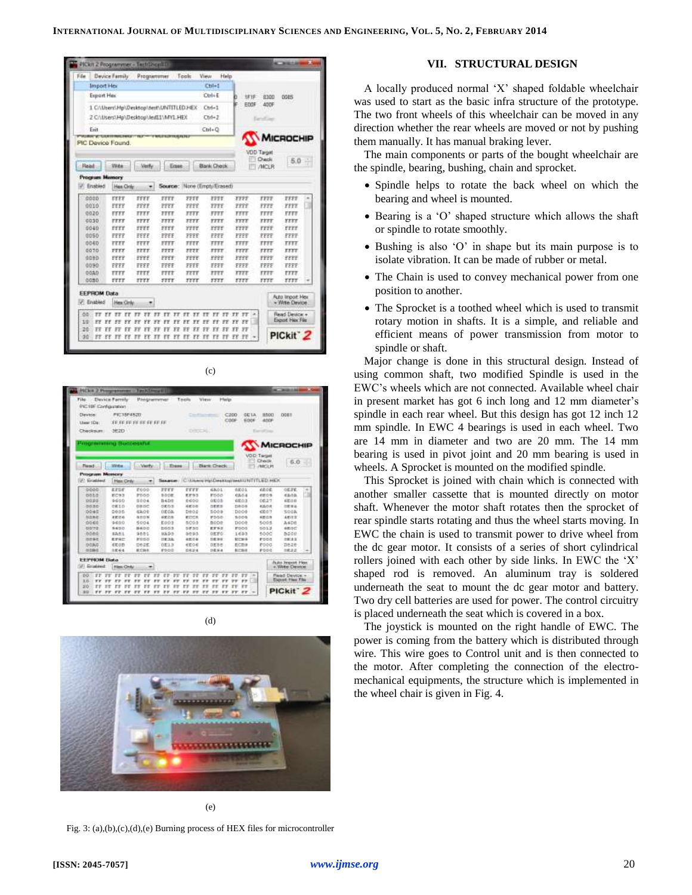| Edw                  | <b>Device Family</b>                                            | Programmer                     |                                      | Tools                       | <b>View</b><br>Help             |                       |                    |                                           |
|----------------------|-----------------------------------------------------------------|--------------------------------|--------------------------------------|-----------------------------|---------------------------------|-----------------------|--------------------|-------------------------------------------|
|                      | <b>Import Hey</b>                                               |                                |                                      |                             | Chi+!                           |                       |                    |                                           |
|                      | Export Hex                                                      |                                |                                      |                             | CelaE                           | ь<br>住作               | 8300               | 0085                                      |
|                      | 1 C:\User\Hp\Desktop\test\UNTITLEDJHEX                          |                                |                                      |                             | $Ceri-1$                        | EDDF                  | ADDF               |                                           |
|                      | 2 CAUsers\Hp\Desktop\leit1\MV1.HEX                              |                                |                                      |                             | $Chrl+2$                        |                       | <b>Carroll See</b> |                                           |
| Exit                 |                                                                 |                                |                                      |                             | $Cut-0$                         |                       |                    |                                           |
|                      | <b>VTHOWAY WITCHINFERMATIONAL TYPESTIM</b><br>PIC Device Found. |                                | <b><i>COMMENTARY PRODUCED IN</i></b> |                             |                                 |                       |                    | MICROCHIP                                 |
|                      |                                                                 |                                |                                      |                             |                                 |                       | <b>VOD Target</b>  |                                           |
|                      |                                                                 |                                |                                      |                             |                                 |                       | 1 Check            | $5.0 -$                                   |
| Read                 | With                                                            | <b>Week</b>                    | Erase                                |                             | Bank Check                      |                       | <b>/MCLR</b>       |                                           |
|                      | <b>Program Manory</b>                                           |                                |                                      |                             |                                 |                       |                    |                                           |
| Ensbied              | Hen Civily                                                      |                                |                                      |                             | Source: None (Empty/Erased)     |                       |                    |                                           |
| 0000                 | EVEY                                                            | FFFF                           | FFFF                                 | <b>FFEE</b>                 | <b>FPFT</b>                     | 3999                  | FFFF               | <b>FFFF</b>                               |
| 0010                 | FFFF                                                            | FFFF                           | PPPF                                 | PPPP                        | FFFE                            | <b>FFFF</b>           | FFFE               | a<br>TEEE                                 |
| 0020                 | <b>FFFF</b>                                                     | TTTT.                          | 7777                                 | 7777                        | <b>FFTT</b>                     | TTT                   | <b>FFFF</b>        | FFFF                                      |
| 0030                 | FFFF                                                            | TTTY                           | FFFY                                 | TTTT                        | <b>FFFT</b>                     | <b>YFFY</b>           | rrrr               | <b>YFFT</b>                               |
| 0040                 | EFFF                                                            | FFFF                           | 3889                                 | <b>YFFF</b>                 | FFFF                            | FFFF                  | <b>FFFF</b>        | FFFF                                      |
| 0050                 | FFFF                                                            | FEFF                           | FFEE                                 | FFFF                        | FFFF                            | FFFF                  | FFEF               | FFFF                                      |
| 0040                 | 7777                                                            | 7777                           | FFFF.                                | TTTY                        | 7777                            | TTT                   | TTIT               | TTTT                                      |
| 0070                 | FFFF                                                            | <b>TITY</b>                    | FFFF.                                | 5577                        | <b>FITT</b>                     | <b>FITE</b>           | rrrr               | <b>TEYE</b>                               |
| 0060                 | FFFF                                                            | 3999                           | PPPF:                                | <b>FFFF</b>                 | rrrr                            | 3999                  | <b>FFEE</b>        | <b>YFFF</b>                               |
| 0090                 | FFFF                                                            | FFFF                           | FFFF:                                | FFFF                        | FFFF                            | FFFF                  | FFFF               | FEFE                                      |
| 0040                 | <b>FTFF</b>                                                     | TTTF.                          | mm                                   | 7777                        | 7777                            | FFFF                  | <b>TTTT</b>        | rrr                                       |
| <b>OCBD</b>          | FFFF                                                            | TTTY                           | TTTY                                 | TTTT                        | <b>YYYY</b>                     | <b>FFFF</b>           | rrer               | TYPE                                      |
| <b>EEPROM Data</b>   |                                                                 |                                |                                      |                             |                                 |                       |                    |                                           |
| <b>IV: Enabled</b>   | Hee Only.                                                       | ۰                              |                                      |                             |                                 |                       |                    | <b>Auto lingoit Hex</b><br>- Write Device |
| aa<br>π              |                                                                 |                                |                                      |                             |                                 | FF 37 TF 37           |                    | Read Device +                             |
|                      | FF.<br>Υř<br>rr                                                 | <b>FF</b><br>٢F<br>FF FF<br>FF | FF<br>ŦF<br>$-17$<br>38<br>Ħ         | řΕ<br>TT.<br>FF FF FF FF FF | ż<br>rr<br>FE <sup>*</sup><br>۴ | FF.<br>YF<br>FF FF FF |                    | Fainot Hay File                           |
| 10<br>Ξř<br>20<br>FF | <b>FF</b><br>27                                                 |                                |                                      |                             |                                 |                       |                    |                                           |

| FF FF FF FF FF FF FF FF<br>3620<br><b>Programming Successful.</b> |                                                                                                                                                                                                                                                                             | <b>DISTURBS</b>                                                                                    |                                                                                                              | CODE<br><b>EDOF</b>                                                                                                         | 4009                                                                                               |                                                                                            |                                                                                                                                              |
|-------------------------------------------------------------------|-----------------------------------------------------------------------------------------------------------------------------------------------------------------------------------------------------------------------------------------------------------------------------|----------------------------------------------------------------------------------------------------|--------------------------------------------------------------------------------------------------------------|-----------------------------------------------------------------------------------------------------------------------------|----------------------------------------------------------------------------------------------------|--------------------------------------------------------------------------------------------|----------------------------------------------------------------------------------------------------------------------------------------------|
|                                                                   |                                                                                                                                                                                                                                                                             |                                                                                                    |                                                                                                              |                                                                                                                             |                                                                                                    |                                                                                            |                                                                                                                                              |
|                                                                   |                                                                                                                                                                                                                                                                             |                                                                                                    |                                                                                                              |                                                                                                                             |                                                                                                    |                                                                                            |                                                                                                                                              |
|                                                                   |                                                                                                                                                                                                                                                                             |                                                                                                    |                                                                                                              |                                                                                                                             |                                                                                                    | <b>MICROCHIP</b>                                                                           |                                                                                                                                              |
|                                                                   |                                                                                                                                                                                                                                                                             |                                                                                                    |                                                                                                              |                                                                                                                             | <b>VOD-Target</b>                                                                                  |                                                                                            |                                                                                                                                              |
| Wildler<br>- Verby                                                | $-$ Dese                                                                                                                                                                                                                                                                    |                                                                                                    | <b>Bank Chack</b>                                                                                            |                                                                                                                             | <b>Check</b><br><b>JIMCLES</b>                                                                     | 6.0                                                                                        |                                                                                                                                              |
|                                                                   |                                                                                                                                                                                                                                                                             |                                                                                                    |                                                                                                              |                                                                                                                             |                                                                                                    |                                                                                            |                                                                                                                                              |
| ۰                                                                 |                                                                                                                                                                                                                                                                             |                                                                                                    |                                                                                                              |                                                                                                                             |                                                                                                    |                                                                                            |                                                                                                                                              |
| <b>F000</b>                                                       | <b>TTET</b>                                                                                                                                                                                                                                                                 | FFFF                                                                                               | 6801                                                                                                         | <b>EE01</b>                                                                                                                 | 48.08                                                                                              | <b>OEFE</b>                                                                                | ۰                                                                                                                                            |
| <b>PODD</b>                                                       | a type:                                                                                                                                                                                                                                                                     | EF83                                                                                               | PD50                                                                                                         | 83.04                                                                                                                       | eggs.                                                                                              | 63.03.                                                                                     | n                                                                                                                                            |
|                                                                   |                                                                                                                                                                                                                                                                             |                                                                                                    |                                                                                                              |                                                                                                                             |                                                                                                    |                                                                                            |                                                                                                                                              |
|                                                                   |                                                                                                                                                                                                                                                                             |                                                                                                    |                                                                                                              |                                                                                                                             |                                                                                                    |                                                                                            |                                                                                                                                              |
|                                                                   |                                                                                                                                                                                                                                                                             |                                                                                                    |                                                                                                              |                                                                                                                             |                                                                                                    |                                                                                            |                                                                                                                                              |
|                                                                   |                                                                                                                                                                                                                                                                             |                                                                                                    |                                                                                                              |                                                                                                                             |                                                                                                    |                                                                                            |                                                                                                                                              |
|                                                                   |                                                                                                                                                                                                                                                                             |                                                                                                    |                                                                                                              |                                                                                                                             |                                                                                                    |                                                                                            |                                                                                                                                              |
|                                                                   |                                                                                                                                                                                                                                                                             |                                                                                                    |                                                                                                              |                                                                                                                             |                                                                                                    |                                                                                            |                                                                                                                                              |
|                                                                   |                                                                                                                                                                                                                                                                             |                                                                                                    |                                                                                                              |                                                                                                                             |                                                                                                    |                                                                                            |                                                                                                                                              |
|                                                                   |                                                                                                                                                                                                                                                                             |                                                                                                    |                                                                                                              |                                                                                                                             |                                                                                                    |                                                                                            |                                                                                                                                              |
|                                                                   |                                                                                                                                                                                                                                                                             |                                                                                                    |                                                                                                              |                                                                                                                             |                                                                                                    |                                                                                            |                                                                                                                                              |
|                                                                   | <b>Presentant Mosseury</b><br><b>Has Cirks</b><br>EFDE<br>8093<br>9600<br>5004<br>GIRD<br><b><i><u>anne</u></i></b><br>0005<br>6306<br>海川白斯<br><b>ARDA</b><br>9600<br>5004<br>NATIO.<br>製品のの<br>道具表生<br>9885<br>化学所に<br><b>RISS</b><br><b>GEOD</b><br>Deak.<br>出記の名<br>能力解剖 | B4DE<br><b>GEOS</b><br>DE OA<br><b>HEDS</b><br>E003<br><b>noos</b><br>9895<br>日数文庫<br>方面立方<br>FDOD | 0600<br><b>REDD</b><br>DEDE<br><b>SCOUTIS</b><br>5065<br><b>DESO</b><br>0893<br>有数が新<br><b>REDE</b><br>ORZIA | <b>OE/OS</b><br><b>DEES</b><br><b>BODS</b><br><b>VOGS:</b><br><b>BODE</b><br>EFER<br>DEFO:<br><b>DEMI</b><br>DEBS:<br>DES-4 | <b>CO23</b><br>nace<br>DOOS<br>5.000<br>D008<br>mond<br>1693<br><b>SCORA</b><br>ECRA<br><b>ATA</b> | 08:27<br>43,04<br>436.077<br>emicra<br>6005<br>0013<br>5500<br><b>POOR</b><br>P000<br>PODC | Sexence: C. Unaverlea/Desktoplasski/NTITLED.HEX.<br>4808<br><b>DEEA</b><br>-5008<br>4833<br>3,428<br>estor:<br>5208<br>08/12<br>7826<br>1832 |





(e)

Fig. 3: (a),(b),(c),(d),(e) Burning process of HEX files for microcontroller

## **VII. STRUCTURAL DESIGN**

A locally produced normal 'X' shaped foldable wheelchair was used to start as the basic infra structure of the prototype. The two front wheels of this wheelchair can be moved in any direction whether the rear wheels are moved or not by pushing them manually. It has manual braking lever.

The main components or parts of the bought wheelchair are the spindle, bearing, bushing, chain and sprocket.

- Spindle helps to rotate the back wheel on which the bearing and wheel is mounted.
- Bearing is a 'O' shaped structure which allows the shaft or spindle to rotate smoothly.
- Bushing is also 'O' in shape but its main purpose is to isolate vibration. It can be made of rubber or metal.
- The Chain is used to convey mechanical power from one position to another.
- The Sprocket is a toothed wheel which is used to transmit rotary motion in shafts. It is a simple, and reliable and efficient means of power transmission from motor to spindle or shaft.

Major change is done in this structural design. Instead of using common shaft, two modified Spindle is used in the EWC's wheels which are not connected. Available wheel chair in present market has got 6 inch long and 12 mm diameter's spindle in each rear wheel. But this design has got 12 inch 12 mm spindle. In EWC 4 bearings is used in each wheel. Two are 14 mm in diameter and two are 20 mm. The 14 mm bearing is used in pivot joint and 20 mm bearing is used in wheels. A Sprocket is mounted on the modified spindle.

This Sprocket is joined with chain which is connected with another smaller cassette that is mounted directly on motor shaft. Whenever the motor shaft rotates then the sprocket of rear spindle starts rotating and thus the wheel starts moving. In EWC the chain is used to transmit power to drive wheel from the dc gear motor. It consists of a series of short cylindrical rollers joined with each other by side links. In EWC the 'X' shaped rod is removed. An aluminum tray is soldered underneath the seat to mount the dc gear motor and battery. Two dry cell batteries are used for power. The control circuitry is placed underneath the seat which is covered in a box.

The joystick is mounted on the right handle of EWC. The power is coming from the battery which is distributed through wire. This wire goes to Control unit and is then connected to the motor. After completing the connection of the electromechanical equipments, the structure which is implemented in the wheel chair is given in Fig. 4.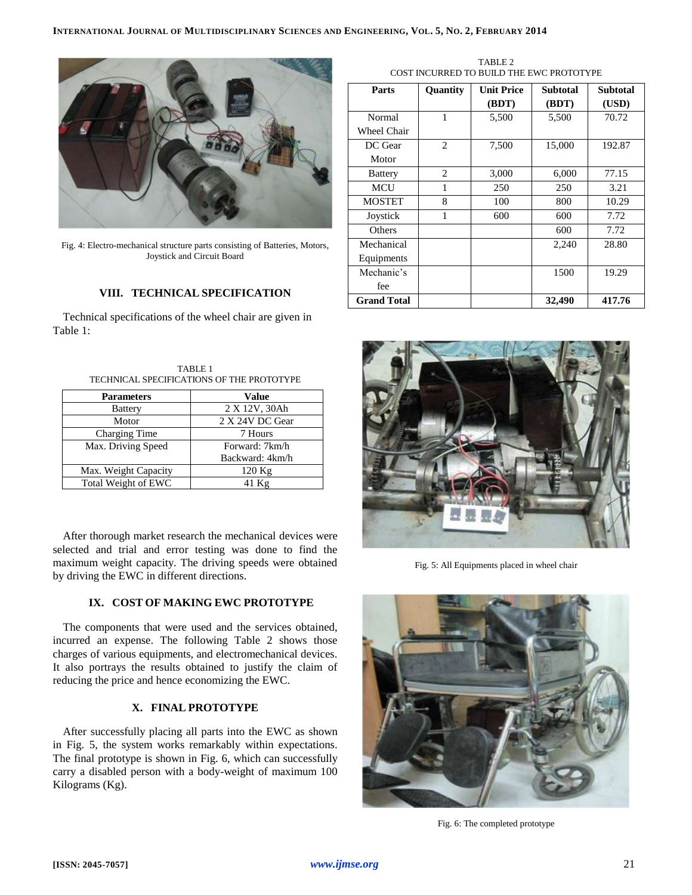

Fig. 4: Electro-mechanical structure parts consisting of Batteries, Motors, Joystick and Circuit Board

# **VIII. TECHNICAL SPECIFICATION**

Technical specifications of the wheel chair are given in Table 1:

TABLE 1 TECHNICAL SPECIFICATIONS OF THE PROTOTYPE

| <b>Parameters</b>    | <b>Value</b>    |
|----------------------|-----------------|
| <b>Battery</b>       | 2 X 12V, 30Ah   |
| Motor                | 2 X 24V DC Gear |
| Charging Time        | 7 Hours         |
| Max. Driving Speed   | Forward: 7km/h  |
|                      | Backward: 4km/h |
| Max. Weight Capacity | $120$ Kg        |
| Total Weight of EWC  | $41$ Kg         |

After thorough market research the mechanical devices were selected and trial and error testing was done to find the maximum weight capacity. The driving speeds were obtained by driving the EWC in different directions.

# **IX. COST OF MAKING EWC PROTOTYPE**

The components that were used and the services obtained, incurred an expense. The following Table 2 shows those charges of various equipments, and electromechanical devices. It also portrays the results obtained to justify the claim of reducing the price and hence economizing the EWC.

## **X. FINAL PROTOTYPE**

After successfully placing all parts into the EWC as shown in Fig. 5, the system works remarkably within expectations. The final prototype is shown in Fig. 6, which can successfully carry a disabled person with a body-weight of maximum 100 Kilograms (Kg).

TABLE 2 COST INCURRED TO BUILD THE EWC PROTOTYPE

| Parts              | Quantity       | <b>Unit Price</b> | <b>Subtotal</b> | <b>Subtotal</b> |
|--------------------|----------------|-------------------|-----------------|-----------------|
|                    |                | (BDT)             | (BDT)           | (USD)           |
| Normal             | 1              | 5,500             | 5,500           | 70.72           |
| Wheel Chair        |                |                   |                 |                 |
| DC Gear            | $\overline{c}$ | 7,500             | 15,000          | 192.87          |
| Motor              |                |                   |                 |                 |
| <b>Battery</b>     | $\overline{c}$ | 3,000             | 6,000           | 77.15           |
| <b>MCU</b>         | 1              | 250               | 250             | 3.21            |
| <b>MOSTET</b>      | 8              | 100               | 800             | 10.29           |
| Joystick           | 1              | 600               | 600             | 7.72            |
| Others             |                |                   | 600             | 7.72            |
| Mechanical         |                |                   | 2,240           | 28.80           |
| Equipments         |                |                   |                 |                 |
| Mechanic's         |                |                   | 1500            | 19.29           |
| fee                |                |                   |                 |                 |
| <b>Grand Total</b> |                |                   | 32,490          | 417.76          |



Fig. 5: All Equipments placed in wheel chair



Fig. 6: The completed prototype